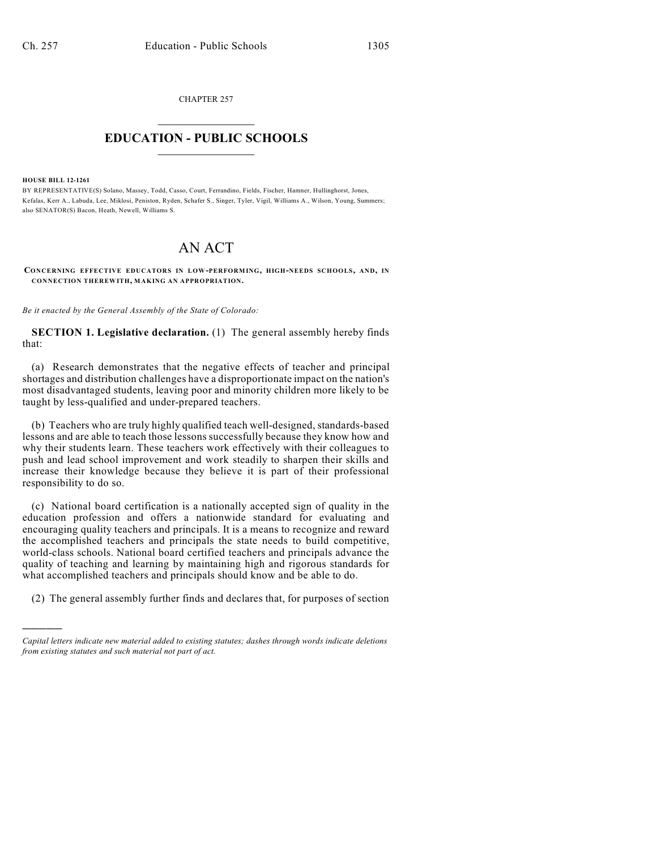CHAPTER 257  $\overline{\phantom{a}}$  . The set of the set of the set of the set of the set of the set of the set of the set of the set of the set of the set of the set of the set of the set of the set of the set of the set of the set of the set o

## **EDUCATION - PUBLIC SCHOOLS**  $\_$   $\_$   $\_$   $\_$   $\_$   $\_$   $\_$   $\_$   $\_$

**HOUSE BILL 12-1261**

)))))

BY REPRESENTATIVE(S) Solano, Massey, Todd, Casso, Court, Ferrandino, Fields, Fischer, Hamner, Hullinghorst, Jones, Kefalas, Kerr A., Labuda, Lee, Miklosi, Peniston, Ryden, Schafer S., Singer, Tyler, Vigil, Williams A., Wilson, Young, Summers; also SENATOR(S) Bacon, Heath, Newell, Williams S.

## AN ACT

**CONCERNING EFFECTIVE EDUCATORS IN LOW-PERFORMING, HIGH-NEEDS SCHOOLS, AND, IN CONNECTION THEREWITH, MAKING AN APPROPRIATION.**

*Be it enacted by the General Assembly of the State of Colorado:*

**SECTION 1. Legislative declaration.** (1) The general assembly hereby finds that:

(a) Research demonstrates that the negative effects of teacher and principal shortages and distribution challenges have a disproportionate impact on the nation's most disadvantaged students, leaving poor and minority children more likely to be taught by less-qualified and under-prepared teachers.

(b) Teachers who are truly highly qualified teach well-designed, standards-based lessons and are able to teach those lessons successfully because they know how and why their students learn. These teachers work effectively with their colleagues to push and lead school improvement and work steadily to sharpen their skills and increase their knowledge because they believe it is part of their professional responsibility to do so.

(c) National board certification is a nationally accepted sign of quality in the education profession and offers a nationwide standard for evaluating and encouraging quality teachers and principals. It is a means to recognize and reward the accomplished teachers and principals the state needs to build competitive, world-class schools. National board certified teachers and principals advance the quality of teaching and learning by maintaining high and rigorous standards for what accomplished teachers and principals should know and be able to do.

(2) The general assembly further finds and declares that, for purposes of section

*Capital letters indicate new material added to existing statutes; dashes through words indicate deletions from existing statutes and such material not part of act.*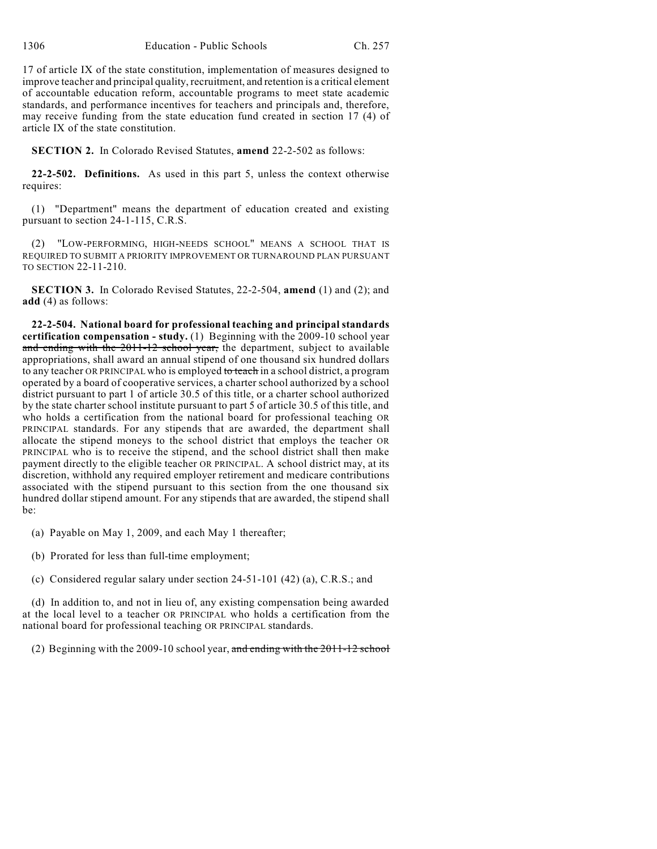17 of article IX of the state constitution, implementation of measures designed to improve teacher and principal quality, recruitment, and retention is a critical element of accountable education reform, accountable programs to meet state academic standards, and performance incentives for teachers and principals and, therefore, may receive funding from the state education fund created in section 17 (4) of article IX of the state constitution.

**SECTION 2.** In Colorado Revised Statutes, **amend** 22-2-502 as follows:

**22-2-502. Definitions.** As used in this part 5, unless the context otherwise requires:

(1) "Department" means the department of education created and existing pursuant to section 24-1-115, C.R.S.

(2) "LOW-PERFORMING, HIGH-NEEDS SCHOOL" MEANS A SCHOOL THAT IS REQUIRED TO SUBMIT A PRIORITY IMPROVEMENT OR TURNAROUND PLAN PURSUANT TO SECTION 22-11-210.

**SECTION 3.** In Colorado Revised Statutes, 22-2-504, **amend** (1) and (2); and **add** (4) as follows:

**22-2-504. National board for professional teaching and principal standards certification compensation - study.** (1) Beginning with the 2009-10 school year and ending with the 2011-12 school year, the department, subject to available appropriations, shall award an annual stipend of one thousand six hundred dollars to any teacher OR PRINCIPAL who is employed to teach in a school district, a program operated by a board of cooperative services, a charter school authorized by a school district pursuant to part 1 of article 30.5 of this title, or a charter school authorized by the state charter school institute pursuant to part 5 of article 30.5 of this title, and who holds a certification from the national board for professional teaching OR PRINCIPAL standards. For any stipends that are awarded, the department shall allocate the stipend moneys to the school district that employs the teacher OR PRINCIPAL who is to receive the stipend, and the school district shall then make payment directly to the eligible teacher OR PRINCIPAL. A school district may, at its discretion, withhold any required employer retirement and medicare contributions associated with the stipend pursuant to this section from the one thousand six hundred dollar stipend amount. For any stipends that are awarded, the stipend shall be:

(a) Payable on May 1, 2009, and each May 1 thereafter;

- (b) Prorated for less than full-time employment;
- (c) Considered regular salary under section 24-51-101 (42) (a), C.R.S.; and

(d) In addition to, and not in lieu of, any existing compensation being awarded at the local level to a teacher OR PRINCIPAL who holds a certification from the national board for professional teaching OR PRINCIPAL standards.

(2) Beginning with the 2009-10 school year, and ending with the 2011-12 school